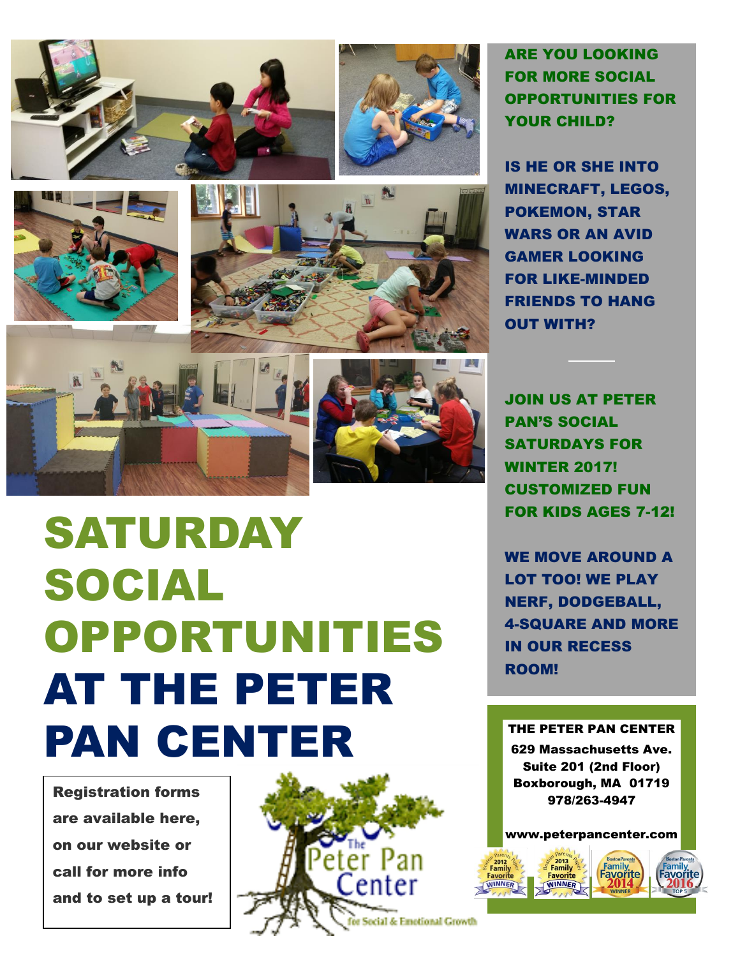











SATURDAY SOCIAL OPPORTUNITIES AT THE PETER PAN CENTER

Registration forms are available here, on our website or call for more info and to set up a tour!



ARE YOU LOOKING FOR MORE SOCIAL OPPORTUNITIES FOR YOUR CHILD?

IS HE OR SHE INTO MINECRAFT, LEGOS, POKEMON, STAR WARS OR AN AVID GAMER LOOKING FOR LIKE-MINDED FRIENDS TO HANG OUT WITH?

JOIN US AT PETER PAN'S SOCIAL SATURDAYS FOR WINTER 2017! CUSTOMIZED FUN FOR KIDS AGES 7-12!

WE MOVE AROUND A LOT TOO! WE PLAY NERF, DODGEBALL, 4-SQUARE AND MORE IN OUR RECESS ROOM!

#### THE PETER PAN CENTER

629 Massachusetts Ave. Suite 201 (2nd Floor) Boxborough, MA 01719 978/263-4947

www.peterpancenter.com

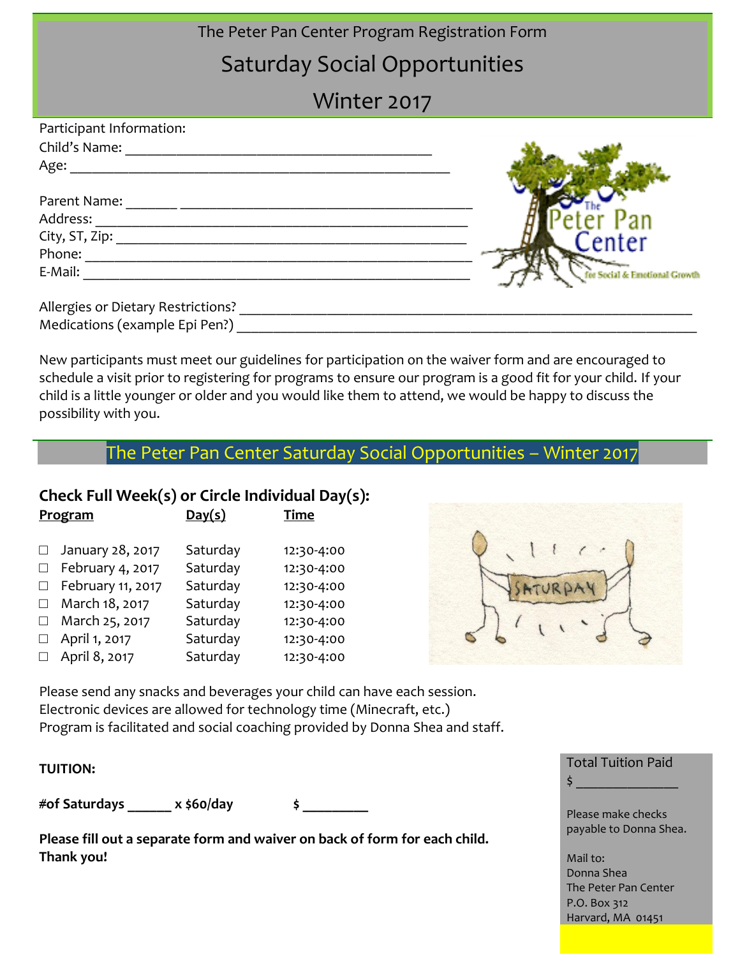The Peter Pan Center Program Registration Form

# Saturday Social Opportunities

Winter 2017

| Participant Information:           |                               |
|------------------------------------|-------------------------------|
| Child's Name:                      |                               |
| Age:                               |                               |
|                                    |                               |
| Parent Name:                       |                               |
| Address:                           | Pan                           |
| City, ST, Zip:                     | Center                        |
| Phone:                             |                               |
| E-Mail:                            | fer Social & Emotional Growth |
|                                    |                               |
| Allergies or Dietary Restrictions? |                               |

Medications (example Epi Pen?)

New participants must meet our guidelines for participation on the waiver form and are encouraged to schedule a visit prior to registering for programs to ensure our program is a good fit for your child. If your child is a little younger or older and you would like them to attend, we would be happy to discuss the possibility with you.

## The Peter Pan Center Saturday Social Opportunities – Winter 2017

## **Check Full Week(s) or Circle Individual Day(s):**

| Program                  | Day(s)   | <b>Time</b> |
|--------------------------|----------|-------------|
|                          |          |             |
| $\Box$ January 28, 2017  | Saturday | 12:30-4:00  |
| $\Box$ February 4, 2017  | Saturday | 12:30-4:00  |
| $\Box$ February 11, 2017 | Saturday | 12:30-4:00  |
| March 18, 2017           | Saturday | 12:30-4:00  |
| March 25, 2017           | Saturday | 12:30-4:00  |
| April 1, 2017            | Saturday | 12:30-4:00  |
| April 8, 2017            | Saturday | 12:30-4:00  |
|                          |          |             |

$$
\left\{\frac{1}{\sqrt{\frac{3hTVRPAY}{1.5}}}\right\}
$$

Please send any snacks and beverages your child can have each session. Electronic devices are allowed for technology time (Minecraft, etc.) Program is facilitated and social coaching provided by Donna Shea and staff.

**TUITION:**

**#of Saturdays \_\_\_\_\_\_ x \$60/day \$ \_\_\_\_\_\_\_\_\_**

**Please fill out a separate form and waiver on back of form for each child. Thank you!**

#### Total Tuition Paid

 $\zeta$ 

Please make checks payable to Donna Shea.

Mail to: Donna Shea The Peter Pan Center P.O. Box 312 Harvard, MA 01451